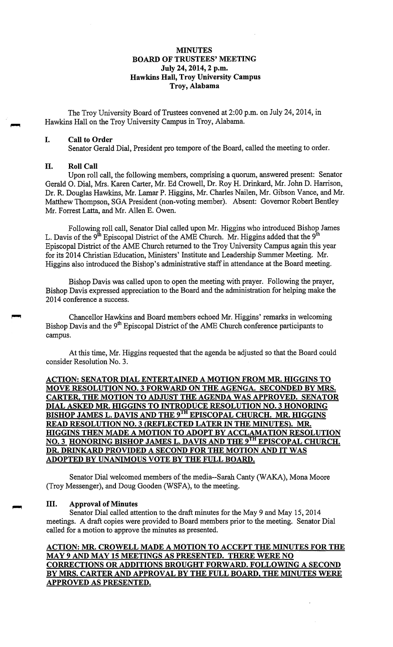## **MINUTES BOARD OF TRUSTEES' MEETING July 24, 2014, 2 p.m. Hawkins Hall, Troy University Campus Troy, Alabama**

The Troy University Board of Trustees convened at 2:00 p.m. on July 24, 2014, in Hawkins Hall on the Troy University Campus in Troy, Alabama.

#### I. **Call to Order**

Senator Gerald Dial, President pro tempore of the Board, called the meeting to order.

#### II. **Roll Call**

Upon roll call, the following members, comprising a quorum, answered present: Senator Gerald 0. Dial, Mrs. Karen Carter, Mr. Ed Crowell, Dr. Roy H. Drinkard, Mr. John D. Harrison, Dr. R. Douglas Hawkins, Mr. Lamar P. Higgins, Mr. Charles Nailen, Mr. Gibson Vance, and Mr. Matthew Thompson, SGA President (non-voting member). Absent: Governor Robert Bentley Mr. Forrest Latta, and Mr. Allen E. Owen.

Following roll call, Senator Dial called upon Mr. Higgins who introduced Bishop James L. Davis of the 9<sup>th</sup> Episcopal District of the AME Church. Mr. Higgins added that the 9<sup>th</sup> Episcopal District of the AME Church returned to the Troy University Campus again this year for its 2014 Christian Education, Ministers' Institute and Leadership Summer Meeting. Mr. Higgins also introduced the Bishop's administrative staff in attendance at the Board meeting.

Bishop Davis was called upon to open the meeting with prayer. Following the prayer, Bishop Davis expressed appreciation to the Board and the administration for helping make the 2014 conference a success.

Chancellor Hawkins and Board members echoed Mr. Higgins' remarks in welcoming Bishop Davis and the 9<sup>th</sup> Episcopal District of the AME Church conference participants to campus.

At this time, Mr. Higgins requested that the agenda be adjusted so that the Board could consider Resolution No. 3.

# **ACTION: SENATOR DIAL ENTERTAINED A MOTION FROM MR. HIGGINS TO MOVE RESOLUTION NO. 3 FORWARD ON THE AGENGA. SECONDED BY MRS. CARTER, THE MOTION TO ADJUST THE AGENDA WAS APPROVED. SENATOR DIAL ASKED MR. IDGGINS TO INTRODUCE RESOLUTION NO. 3 HONORING BISHOP JAMES L. DA VIS AND THE 9™ EPISCOPAL CHURCH. MR. HIGGINS READ RESOLUTION NO. 3 (REFLECTED LATER IN THE MINUTES). MR. IDGGINS THEN MADE A MOTION TO ADOPT BY ACCLAMATION RESOLUTION NO. 3 HONORING BISHOP JAMES L. DAVIS AND THE 9TH EPISCOPAL CHURCH. DR. DRINKARD PROVIDED A SECOND FOR THE MOTION AND IT WAS ADOPTED BY UNANIMOUS VOTE BY THE FULL BOARD.**

Senator Dial welcomed members of the media--Sarah Canty (WAKA), Mona Moore (Troy Messenger), and Doug Gooden (WSFA), to the meeting.

#### III. **Approval of Minutes**

Senator Dial called attention to the draft minutes for the May 9 and May 15, 2014 meetings. A draft copies were provided to Board members prior to the meeting. Senator Dial called for a motion to approve the minutes as presented.

**ACTION: MR. CROWELL MADE A MOTION TO ACCEPT THE MINUTES FOR THE MAY 9 AND MAY 15 MEETINGS AS PRESENTED. THERE WERE NO CORRECTIONS OR ADDITIONS BROUGHT FORWARD. FOLLOWING A SECOND BY MRS. CARTER AND APPROVAL BY THE FULL BOARD, THE MINUTES WERE APPROVED AS PRESENTED.**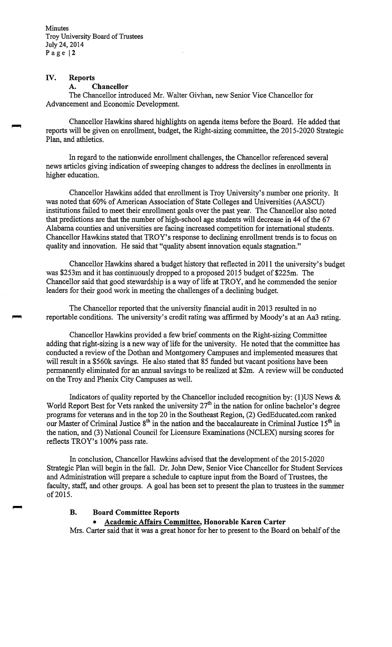### **IV. Reports**

#### **A. Chancellor**

The Chancellor introduced Mr. Walter Givhan, new Senior Vice Chancellor for Advancement and Economic Development.

Chancellor Hawkins shared highlights on agenda items before the Board. He added that reports will be given on enrollment, budget, the Right-sizing committee, the 2015-2020 Strategic Plan, and athletics.

In regard to the nationwide enrollment challenges, the Chancellor referenced several news articles giving indication of sweeping changes to address the declines in enrollments in higher education.

Chancellor Hawkins added that enrollment is Troy University's number one priority. It was noted that 60% of American Association of State Colleges and Universities (AASCU) institutions failed to meet their enrollment goals over the past year. The Chancellor also noted that predictions are that the number of high-school age students will decrease in 44 of the 67 Alabama counties and universities are facing increased competition for international students. Chancellor Hawkins stated that TROY's response to declining enrollment trends is to focus on quality and innovation. He said that "quality absent innovation equals stagnation."

Chancellor Hawkins shared a budget history that reflected in 2011 the university's budget was \$253m and it has continuously dropped to a proposed 2015 budget of \$225m. The Chancellor said that good stewardship is a way of life at TROY, and he commended the senior leaders for their good work in meeting the challenges of a declining budget.

The Chancellor reported that the university financial audit in 2013 resulted in no reportable conditions. The university's credit rating was affirmed by Moody's at an Aa3 rating.

Chancellor Hawkins provided a few brief comments on the Right-sizing Committee adding that right-sizing is a new way of life for the university. He noted that the committee has conducted a review of the Dothan and Montgomery Campuses and implemented measures that will result in a \$560k savings. He also stated that 85 funded but vacant positions have been permanently eliminated for an annual savings to be realized at \$2m. A review will be conducted on the Troy and Phenix City Campuses as well.

Indicators of quality reported by the Chancellor included recognition by: (1)US News  $\&$ World Report Best for Vets ranked the university  $27<sup>th</sup>$  in the nation for online bachelor's degree programs for veterans and in the top 20 in the Southeast Region, (2) [GedEducated.com](https://GedEducated.com) ranked our Master of Criminal Justice  $8<sup>th</sup>$  in the nation and the baccalaureate in Criminal Justice  $15<sup>th</sup>$  in the nation, and (3) National Council for Licensure Examinations (NCLEX) nursing scores for reflects TROY's 100% pass rate.

In conclusion, Chancellor Hawkins advised that the development of the 2015-2020 Strategic Plan will begin in the fall. Dr. John Dew, Senior Vice Chancellor for Student Services and Administration will prepare a schedule to capture input from the Board of Trustees, the faculty, staff, and other groups. A goal has been set to present the plan to trustees in the summer of 2015.

# **B. Board Committee Reports**

#### • **Academic Affairs Committee, Honorable Karen Carter**

Mrs. Carter said that it was a great honor for her to present to the Board on behalf of the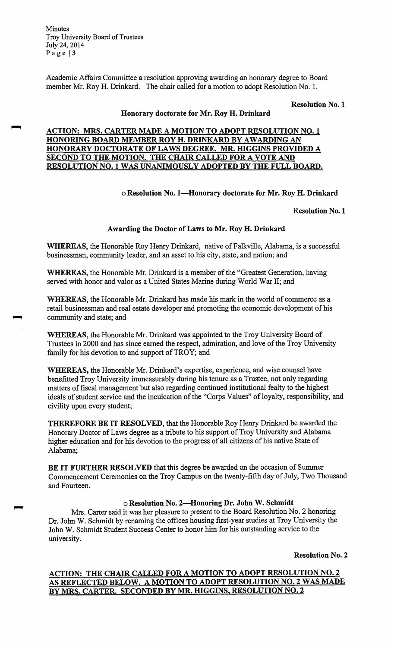Academic Affairs Committee a resolution approving awarding an honorary degree to Board member Mr. Roy H. Drinkard. The chair called for a motion to adopt Resolution No. I.

**Resolution No. 1** 

# **Honorary doctorate for Mr. Roy H. Drinkard**

### **ACTION: MRS. CARTER MADE A MOTION TO ADOPT RESOLUTION NO. 1 HONORING BOARD MEMBER ROY H. DRINKARD BY A WARDING AN HONORARY DOCTORATE OF LAWS DEGREE. MR. HIGGINS PROVIDED A SECOND TO THE MOTION. THE CHAIR CALLED FOR A VOTE AND RESOLUTION NO. 1 WAS UNANIMOUSLY ADOPTED BY THE FULL BOARD.**

### o **Resolution No. I-Honorary doctorate for Mr. Roy H. Drinkard**

**Resolution No. 1** 

#### **Awarding the Doctor of Laws to Mr. Roy H. Drinkard**

**WHEREAS,** the Honorable Roy Henry Drinkard, native of Falkville, Alabama, is a successful businessman, community leader, and an asset to his city, state, and nation; and

**WHEREAS,** the Honorable Mr. Drinkard is a member of the "Greatest Generation, having served with honor and valor as a United States Marine during World War II; and

**WHEREAS,** the Honorable Mr. Drinkard has made his mark in the world of commerce as a retail businessman and real estate developer and promoting the economic development of his community and state; and

**WHEREAS,** the Honorable Mr. Drinkard was appointed to the Troy University Board of Trustees in 2000 and has since earned the respect, admiration, and love of the Troy University family for his devotion to and support of TROY; and

**WHEREAS,** the Honorable Mr. Drinkard's expertise, experience, and wise counsel have benefitted Troy University immeasurably during his tenure as a Trustee, not only regarding matters of fiscal management but also regarding continued institutional fealty to the highest ideals of student service and the inculcation of the "Corps Values" of loyalty, responsibility, and civility upon every student;

**THEREFORE BE IT RESOLVED,** that the Honorable Roy Henry Drinkard be awarded the Honorary Doctor of Laws degree as a tribute to his support of Troy University and Alabama higher education and for his devotion to the progress of all citizens of his native State of Alabama;

**BE IT FURTHER RESOLVED** that this degree be awarded on the occasion of Summer Commencement Ceremonies on the Troy Campus on the twenty-fifth day of July, Two Thousand and Fourteen.

# **oResolution No. 2-Honoring Dr. John W. Schmidt**

Mrs. Carter said it was her pleasure to present to the Board Resolution No. 2 honoring Dr. John W. Schmidt by renaming the offices housing first-year studies at Troy University the John W. Schmidt Student Success Center to honor him for his outstanding service to the university.

**Resolution No. 2** 

# **ACTION: THE CHAIR CALLED FOR A MOTION TO ADOPT RESOLUTION NO. 2 AS REFLECTED BELOW. A MOTION TO ADOPT RESOLUTION NO. 2 WAS MADE BY MRS. CARTER. SECONDED BY MR. HIGGINS, RESOLUTION NO. 2**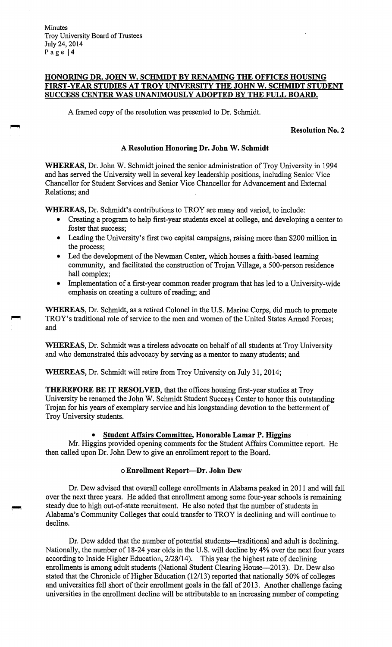# **HONORING DR. JOHN W. SCHMIDT BY RENAMING THE OFFICES HOUSING FIRST-YEAR STUDIES AT TROY UNIVERSITY THE JOHN W. SCHMIDT STUDENT SUCCESS CENTER WAS UNANIMOUSLY ADOPTED BY THE FULL BOARD.**

A framed copy of the resolution was presented to Dr. Schmidt.

#### **Resolution No. 2**

# **A Resolution Honoring Dr. John W. Schmidt**

**WHEREAS,** Dr. John W. Schmidt joined the senior administration of Troy University in 1994 and has served the University well in several key leadership positions, including Senior Vice Chancellor for Student Services and Senior Vice Chancellor for Advancement and External Relations; and

**WHEREAS,** Dr. Schmidt's contributions to TROY are many and varied, to include:

- Creating a program to help first-year students excel at college, and developing a center to foster that success;
- Leading the University's first two capital campaigns, raising more than \$200 million in the process;
- Led the development of the Newman Center, which houses a faith-based learning community, and facilitated the construction of Trojan Village, a 500-person residence hall complex;
- Implementation of a first-year common reader program that has led to a University-wide emphasis on creating a culture of reading; and

**WHEREAS,** Dr. Schmidt, as a retired Colonel in the U.S. Marine Corps, did much to promote TROY's traditional role of service to the men and women of the United States Armed Forces; and

**WHEREAS,** Dr. Schmidt was a tireless advocate on behalf of all students at Troy University and who demonstrated this advocacy by serving as a mentor to many students; and

**WHEREAS,** Dr. Schmidt will retire from Troy University on July 31, 2014;

**THEREFORE BE IT RESOLVED,** that the offices housing first-year studies at Troy University be renamed the John W. Schmidt Student Success Center to honor this outstanding Trojan for his years of exemplary service and his longstanding devotion to the betterment of Troy University students.

#### • **Student Affairs Committee, Honorable Lamar P. Higgins**

Mr.Higgins provided opening comments for the Student Affairs Committee report. He then called upon Dr. John Dew to give an enrollment report to the Board.

#### o **Enrollment Report-Dr. John Dew**

Dr. Dew advised that overall college enrollments in Alabama peaked in 2011 and will fall over the next three years. He added that enrollment among some four-year schools is remaining steady due to high out-of-state recruitment. He also noted that the number of students in Alabama's Community Colleges that could transfer to TROY is declining and will continue to decline.

Dr. Dew added that the number of potential students—traditional and adult is declining. Nationally, the number of 18-24 year olds in the U.S. will decline by 4% over the next four years according to Inside Higher Education, 2/28/14). This year the highest rate of declining enrollments is among adult students (National Student Clearing House-2013). Dr. Dew also stated that the Chronicle of Higher Education (12/13) reported that nationally 50% of colleges and universities fell short of their enrollment goals in the fall of 2013. Another challenge facing universities in the enrollment decline will be attributable to an increasing number of competing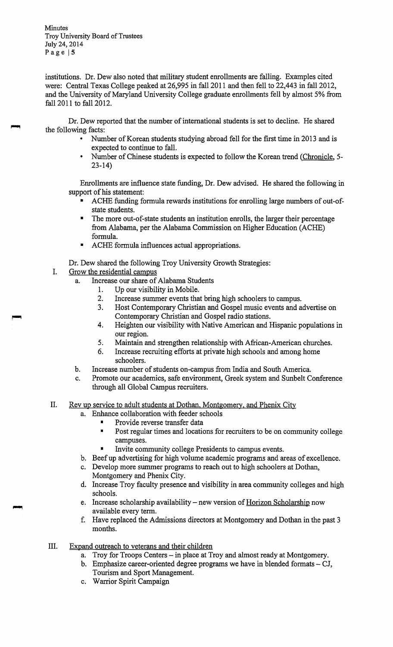institutions. Dr. Dew also noted that military student enrollments are falling. Examples cited were: Central Texas College peaked at 26,995 in fall 2011 and then fell to 22,443 in fall 2012, and the University of Maryland University College graduate enrollments fell by almost 5% from fall 2011 to fall 2012.

Dr. Dew reported that the number of international students is set to decline. He shared the following facts:

- Number of Korean students studying abroad fell for the first time in 2013 and is expected to continue to fall.
- Number of Chinese students is expected to follow the Korean trend (Chronicle, 5- 23-14)

Enrollments are influence state funding, Dr. Dew advised. He shared the following in support of his statement:

- ACHE funding formula rewards institutions for enrolling large numbers of out-ofstate students.
- The more out-of-state students an institution enrolls, the larger their percentage from Alabama, per the Alabama Commission on Higher Education (ACHE) formula.
- ACHE formula influences actual appropriations.

Dr. Dew shared the following Troy University Growth Strategies:

I. Grow the residential campus

r-1

- a. Increase our share of Alabama Students
	- 1. Up our visibility in Mobile.
	- 2. Increase summer events that bring high schoolers to campus.
	- 3. Host Contemporary Christian and Gospel music events and advertise on Contemporary Christian and Gospel radio stations.
	- 4. Heighten our visibility with Native American and Hispanic populations in our region.
	- 5. Maintain and strengthen relationship with African-American churches.
	- 6. Increase recruiting efforts at private high schools and among home schoolers.
- b. Increase number of students on-campus from India and South America.
- c. Promote our academics, safe environment, Greek system and Sunbelt Conference through all Global Campus recruiters.
- II. Rev up service to adult students at Dothan, Montgomery, and Phenix City
	- a. Enhance collaboration with feeder schools
		- Provide reverse transfer data
		- Post regular times and locations for recruiters to be on community college campuses.
		- Invite community college Presidents to campus events.
	- b. Beef up advertising for high volume academic programs and areas of excellence.
	- c. Develop more summer programs to reach out to high schoolers at Dothan, Montgomery and Phenix City.
	- d. Increase Troy faculty presence and visibility in area community colleges and high schools.
	- e. Increase scholarship availability new version of Horizon Scholarship now available every term.
	- f. Have replaced the Admissions directors at Montgomery and Dothan in the past 3 months.
- III. Expand outreach to veterans and their children
	- a. Troy for Troops Centers in place at Troy and almost ready at Montgomery.
	- b. Emphasize career-oriented degree programs we have in blended formats  $-CI$ , Tourism and Sport Management.
	- c. Warrior Spirit Campaign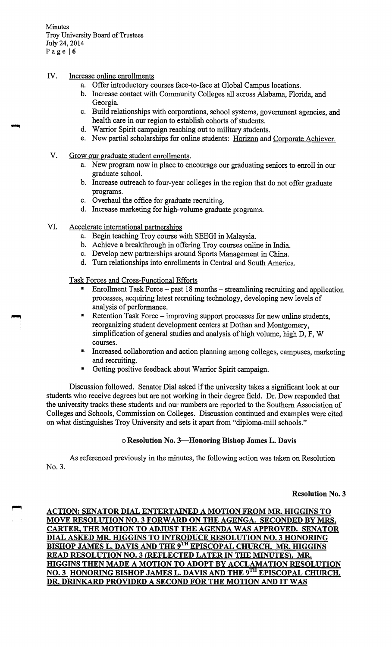# IV. Increase online enrollments

- a. Offer introductory courses face-to-face at Global Campus locations.
- b. Increase contact with Community Colleges all across Alabama, Florida, and Georgia.
- c. Build relationships with corporations, school systems, government agencies, and health care in our region to establish cohorts of students.
- d. Warrior Spirit campaign reaching out to military students.
- e. New partial scholarships for online students: Horizon and Corporate Achiever.
- V. Grow our graduate student enrollments.
	- a. New program now in place to encourage our graduating seniors to enroll in our graduate school.
	- b. Increase outreach to four-year colleges in the region that do not offer graduate programs.
	- c. Overhaul the office for graduate recruiting.
	- d. Increase marketing for high-volume graduate programs.
- VI. Accelerate international partnerships
	- a. Begin teaching Troy course with SEEGI in Malaysia.
	- b. Achieve a breakthrough in offering Troy courses online in India.
	- c. Develop new partnerships around Sports Management in China.
	- d. Tum relationships into enrollments in Central and South America.

Task Forces and Cross-Functional Efforts

- Enrollment Task Force-past 18 months- streamlining recruiting and application processes, acquiring latest recruiting technology, developing new levels of analysis of performance.
- Retention Task Force improving support processes for new online students, reorganizing student development centers at Dothan and Montgomery, simplification of general studies and analysis of high volume, high D, F, W courses.
- •· Increased collaboration and action planning among colleges, campuses, marketing and recruiting.
- Getting positive feedback about Warrior Spirit campaign.

Discussion followed. Senator Dial asked if the university takes a significant look at our students who receive degrees but are not working in their degree field. Dr. Dew responded that the university tracks these students and our numbers are reported to the Southern Association of Colleges and Schools, Commission on Colleges. Discussion continued and examples were cited on what distinguishes Troy University and sets it apart from "diploma-mill schools."

#### o **Resolution No. 3-Honoring Bishop James L. Davis**

As referenced previously in the minutes, the following action was taken on Resolution No.3.

**Resolution No. 3** 

**ACTION: SENATOR DIAL ENTERTAINED A MOTION FROM MR. HIGGINS TO MOVE RESOLUTION NO. 3 FORWARD ON THE AGENGA. SECONDED BY MRS. CARTER, THE MOTION TO ADJUST THE AGENDA WAS APPROVED. SENATOR DIAL ASKED MR. HIGGINS TO INTRODUCE RESOLUTION NO. 3 HONORING BISHOP JAMES L. DAVIS AND THE 9<sup>TH</sup> EPISCOPAL CHURCH. MR. HIGGINS READ RESOLUTION NO. 3 (REFLECTED LATER IN THE MINUTES). MR. IDGGINS THEN MADE A MOTION TO ADOPT BY ACCLAMATION RESOLUTION NO. 3 HONORING BISHOP JAMES L. DA VIS AND THE** 9TH **EPISCOPAL CHURCH. DR. DRINKARD PROVIDED A SECOND FOR THE MOTION AND IT WAS**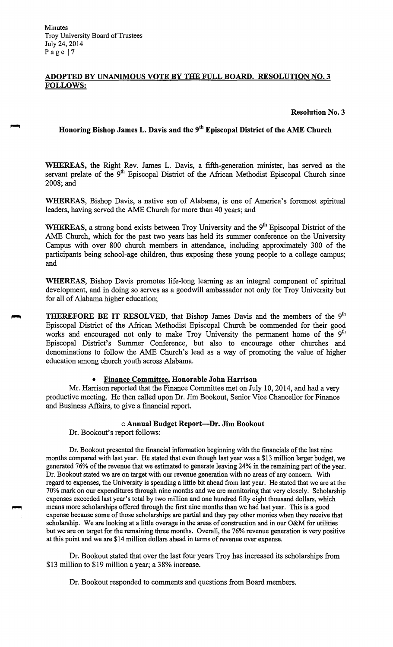# **ADOPTED BY UNANIMOUS VOTE BY THE FULL BOARD. RESOLUTION NO. 3 FOLLOWS:**

#### **Resolution No. 3**

# **Honoring Bishop James L. Davis and the 9th Episcopal District of the AME Church**

**WHEREAS,** the Right Rev. James L. Davis, a fifth-generation minister, has served as the servant prelate of the 9<sup>th</sup> Episcopal District of the African Methodist Episcopal Church since 2008;and

**WHEREAS,** Bishop Davis, a native son of Alabama, is one of America's foremost spiritual leaders, having served the AME Church for more than 40 years; and

WHEREAS, a strong bond exists between Troy University and the 9<sup>th</sup> Episcopal District of the AME Church, which for the past two years has held its summer conference on the University Campus with over 800 church members in attendance, including approximately 300 of the participants being school-age children, thus exposing these young people to a college campus; and

**WHEREAS,** Bishop Davis promotes life-long learning as an integral component of spiritual development, and in doing so serves as a goodwill ambassador not only for Troy University but for all of Alabama higher education;

**THEREFORE BE IT RESOLVED, that Bishop James Davis and the members of the 9<sup>th</sup>** Episcopal District of the African Methodist Episcopal Church be commended for their good works and encouraged not only to make Troy University the permanent home of the 9<sup>th</sup> Episcopal District's Summer Conference, but also to encourage other churches and denominations to follow the AME Church's lead as a way of promoting the value of higher education among church youth across Alabama.

#### • **Finance Committee, Honorable John Harrison**

Mr. Harrison reported that the Finance Committee met on July 10, 2014, and had a very productive meeting. He then called upon Dr. Jim Bookout, Senior Vice Chancellor for Finance and Business Affairs, to give a financial report.

#### o **Annual Budget Report-Dr. Jim Bookout**

Dr. Bookout's report follows:

Dr. Bookout presented the financial information beginning with the financials of the last nine months compared with last year. He stated that even though last year was a \$13 million larger budget, we generated 76% of the revenue that we estimated to generate leaving 24% in the remaining part of the year. Dr. Bookout stated we are on target with our revenue generation with no areas of any concern. With regard to expenses, the University is spending a little bit ahead from last year. He stated that we are at the 70% mark on our expenditures through nine months and we are monitoring that very closely. Scholarship expenses exceeded last year's total by two million and one hundred fifty eight thousand dollars, which means more scholarships offered through the first nine months than we had last year. This is a good expense because some of those scholarships are partial and they pay other monies when they receive that scholarship. We are looking at a little overage in the areas of construction and in our O&M for utilities but we are on target for the remaining three months. Overall, the 76% revenue generation is very positive at this point and we are \$14 million dollars ahead in terms of revenue over expense.

Dr. Bookout stated that over the last four years Troy has increased its scholarships from \$13 million to \$19 million a year; a 38% increase.

Dr. Bookout responded to comments and questions from Board members.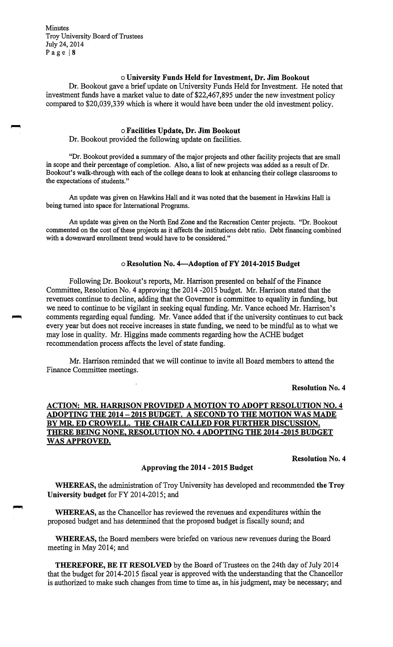#### o **University Funds Held for Investment, Dr. Jim Bookout**

Dr. Bookout gave a brief update on University Funds Held for Investment. He noted that investment funds have a market value to date of \$22,467,895 under the new investment policy compared to \$20,039,339 which is where it would have been under the old investment policy.

#### o **Facilities Update, Dr. Jim Bookout**

Dr. Bookout provided the following update on facilities.

"Dr. Bookout provided a summary of the major projects and other facility projects that are small in scope and their percentage of completion. Also, a list of new projects was added as a result of Dr. Bookout's walk-through with each of the college deans to look at enhancing their college classrooms to the expectations of students."

An update was given on Hawkins Hall and it was noted that the basement in Hawkins Hall is being turned into space for International Programs.

An update was given on the North End Zone and the Recreation Center projects. "Dr. Bookout commented on the cost of these projects as it affects the institutions debt ratio. Debt financing combined with a downward enrollment trend would have to be considered."

## o **Resolution No. 4-Adoption of FY 2014-2015 Budget**

Following Dr. Bookout's reports, Mr. Harrison presented on behalf of the Finance Committee, Resolution No. 4 approving the 2014 -2015 budget. Mr. Harrison stated that the revenues continue to decline, adding that the Governor is committee to equality in funding, but we need to continue to be vigilant in seeking equal funding. Mr. Vance echoed Mr. Harrison's comments regarding equal funding. Mr. Vance added that if the university continues to cut back every year but does not receive increases in state funding, we need to be mindful as to what we may lose in quality. Mr. Higgins made comments regarding how the ACHE budget recommendation process affects the level of state funding.

Mr. Harrison reminded that we will continue to invite all Board members to attend the Finance Committee meetings.

**Resolution No. 4** 

# **ACTION: MR. HARRISON PROVIDED A MOTION TO ADOPT RESOLUTION NO. 4 ADOPTING THE 2014** - **2015 BUDGET. A SECOND TO THE MOTION WAS MADE BY MR. ED CROWELL. THE CHAIR CALLED FOR FURTHER DISCUSSION. THERE BEING NONE, RESOLUTION NO. 4 ADOPTING THE 2014 -2015 BUDGET WAS APPROVED.**

#### **Resolution No. 4**

#### **Approving the 2014** - **2015 Budget**

**WHEREAS,** the administration of Troy University has developed and recommended **the Troy University budget** for FY 2014-2015; and

**WHEREAS,** as the Chancellor has reviewed the revenues and expenditures within the proposed budget and has determined that the proposed budget is fiscally sound; and

**WHEREAS,** the Board members were briefed on various new revenues during the Board meeting in May 2014; and

**THEREFORE, BE IT RESOLVED** by the Board of Trustees on the 24th day of July 2014 that the budget for 2014-2015 fiscal year is approved with the understanding that the Chancellor is authorized to make such changes from time to time as, in his judgment, may be necessary; and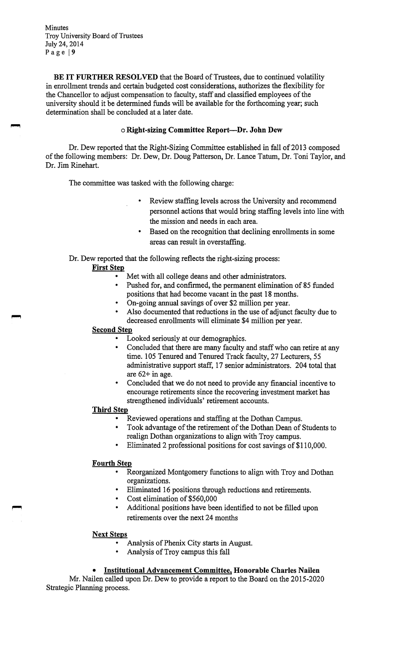**BE IT FURTHER RESOLVED** that the Board of Trustees, due to continued volatility in enrollment trends and certain budgeted cost considerations, authorizes the flexibility for the Chancellor to adjust compensation to faculty, staff and classified employees of the university should it be determined funds will be available for the forthcoming year; such determination shall be concluded at a later date.

# o **Right-sizing Committee Report-Dr. John Dew**

Dr. Dew reported that the Right-Sizing Committee established in fall of 2013 composed of the following members: Dr. Dew, Dr. Doug Patterson, Dr. Lance Tatum, Dr. Toni Taylor, and Dr. Jim Rinehart.

The committee was tasked with the following charge:

- Review staffing levels across the University and recommend personnel actions that would bring staffing levels into line with the mission and needs in each area.
- Based on the recognition that declining enrollments in some areas can result in overstaffing.

Dr. Dew reported that the following reflects the right-sizing process:

#### **First Step**

- Met with all college deans and other administrators.
- Pushed for, and confirmed, the permanent elimination of 85 funded positions that had become vacant in the past 18 months.
- On-going annual savings of over \$2 million per year.
- Also documented that reductions in the use of adjunct faculty due to decreased enrollments will eliminate \$4 million per year.

#### **Second Step**

- Looked seriously at our demographics.
- Concluded that there are many faculty and staff who can retire at any time. 105 Tenured and Tenured Track faculty, 27 Lecturers, 55 administrative support staff, 17 senior administrators. 204 total that are 62+ in age.
- Concluded that we do not need to provide any financial incentive to encourage retirements since the recovering investment market has strengthened individuals' retirement accounts.

### **Third Step**

- Reviewed operations and staffing at the Dothan Campus.
- Took advantage of the retirement of the Dothan Dean of Students to realign Dothan organizations to align with Troy campus.
- Eliminated 2 professional positions for cost savings of \$110,000.

#### **Fourth Step**

- Reorganized Montgomery functions to align with Troy and Dothan organizations.
- Eliminated 16 positions through reductions and retirements.
- Cost elimination of \$560,000
- Additional positions have been identified to not be filled upon retirements over the next 24 months

#### **Next Steps**

- Analysis of Phenix City starts in August.
- Analysis of Troy campus this fall

# • **Institutional Advancement Committee, Honorable Charles Nailen**

Mr. Nailen called upon Dr. Dew to provide a report to the Board on the 2015-2020 Strategic Planning process.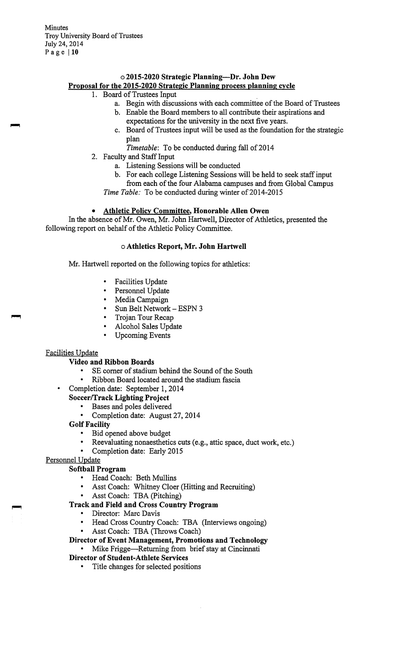# **02015-2020 Strategic Planning-Dr. John Dew Proposal for the 2015-2020 Strategic Planning process planning cycle**

# 1. Board of Trustees Input

- a. Begin with discussions with each committee of the Board of Trustees
	- b. Enable the Board members to all contribute their aspirations and expectations for the university in the next five years.
	- c. Board of Trustees input will be used as the foundation for the strategic plan
		- *Timetable:* To be conducted during fall of 2014
- 2. Faculty and Staff Input
	- a. Listening Sessions will be conducted
	- b. For each college Listening Sessions will be held to seek staff input from each of the four Alabama campuses and from Global Campus
	- *Time Table:* To be conducted during winter of 2014-2015

### • **Athletic Policy Committee, Honorable Allen Owen**

In the absence of Mr. Owen, Mr. John Hartwell, Director of Athletics, presented the following report on behalf of the Athletic Policy Committee.

## o **Athletics Report, Mr. John Hartwell**

Mr. Hartwell reported on the following topics for athletics:

- Facilities Update
- Personnel Update<br>• Media Campaign
- Media Campaign
- Sun Belt Network ESPN 3
- Trojan Tour Recap
- Alcohol Sales Update
- Upcoming Events

#### Facilities Update

### **Video and Ribbon Boards**

- SE corner of stadium behind the Sound of the South
- Ribbon Board located around the stadium fascia
- Completion date: September 1, 2014
- **Soccer/Track Lighting Project** 
	- Bases and poles delivered
	- Completion date: August 27, 2014

### **Golf Facility**

- Bid opened above budget
- Reevaluating nonaesthetics cuts (e.g., attic space, duct work, etc.)
- Completion date: Early 2015

# Personnel Update

# **Softball Program**

- Head Coach: Beth Mullins
- Asst Coach: Whitney Cloer (Hitting and Recruiting)
- Asst Coach: TBA (Pitching)

# **Track and Field and Cross Country Program**

- Director: Marc Davis
- Head Cross Country Coach: TBA (Interviews ongoing)
- Asst Coach: TBA (Throws Coach)
- **Director of Event Management, Promotions and Technology**
- Mike Frigge-Returning from brief stay at Cincinnati **Director of Student-Athlete Services** 
	- - Title changes for selected positions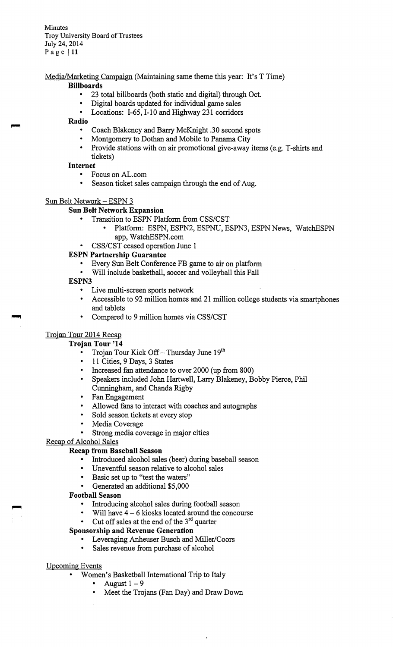Media/Marketing Campaign (Maintaining same theme this year: It's T Time)

## **Billboards**

- 23 total billboards (both static and digital) through Oct.
- Digital boards updated for individual game sales
- Locations: 1-65, 1-10 and Highway 231 corridors

### **Radio**

- Coach Blakeney and Barry McKnight .30 second spots
- Montgomery to Dothan and Mobile to Panama City
- Provide stations with on air promotional give-away items (e.g. T-shirts and tickets)

# **Internet**

- Focus on AL.com
- Season ticket sales campaign through the end of Aug.

# Sun Belt Network - ESPN 3

# **Sun Belt Network Expansion**

- Transition to ESPN Platform from CSS/CST
	- Platform: ESPN, ESPN2, ESPNU, ESPN3, ESPN News, WatchESPN app, [WatchESPN.com](https://WatchESPN.com)
- CSS/CST ceased operation June 1

# **ESPN Partnership Guarantee**

- Every Sun Belt Conference FB game to air on platform
- Will include basketball, soccer and volleyball this Fall

### **ESPN3**

- Live multi-screen sports network
- Accessible to 92 million homes and 21 million college students via smartphones and tablets
- Compared to 9 million homes via CSS/CST

# Trojan Tour 2014 Recap

# **Trojan Tour '14**

- Trojan Tour Kick Off Thursday June 19<sup>th</sup>
- 11 Cities, 9 Days, 3 States
- Increased fan attendance to over 2000 (up from 800)
- Speakers included John Hartwell, Larry Blakeney, Bobby Pierce, Phil Cunningham, and Chanda Rigby
- Fan Engagement
- Allowed fans to interact with coaches and autographs
- Sold season tickets at every stop
- Media Coverage
- Strong media coverage in major cities

# Recap of Alcohol Sales

# **Recap from Baseball Season**

- Introduced alcohol sales (beer) during baseball season
- Uneventful season relative to alcohol sales
- Basic set up to "test the waters"
- Generated an additional \$5,000

# **Football Season**

- Introducing alcohol sales during football season
- Will have  $4 6$  kiosks located around the concourse
- Cut off sales at the end of the  $3<sup>rd</sup>$  quarter

# **Sponsorship and Revenue Generation**

- Leveraging Anheuser Busch and Miller/Coors
- Sales revenue from purchase of alcohol

#### Upcoming Events

- Women's Basketball International Trip to Italy
	- August  $1-9$
	- Meet the Trojans (Fan Day) and Draw Down